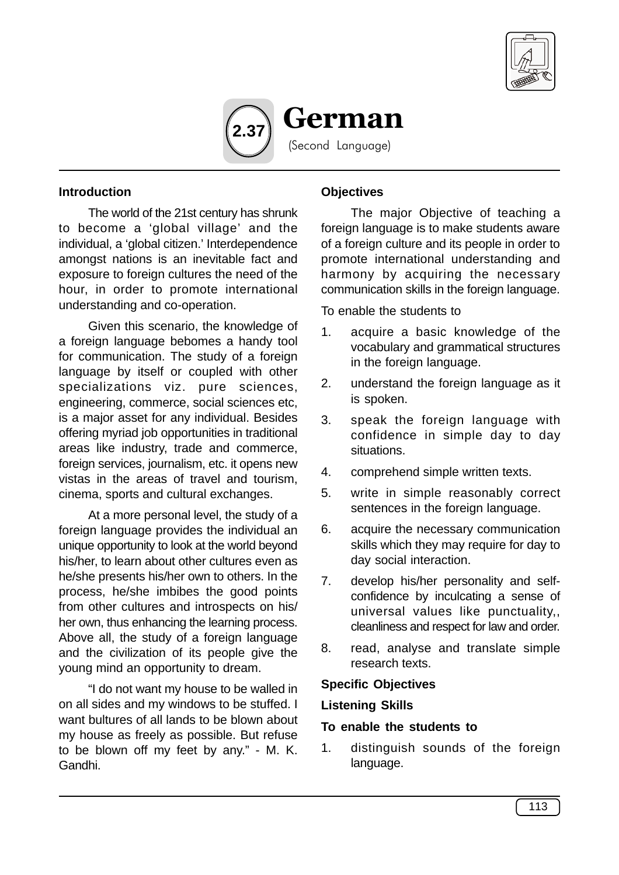



### **Introduction**

The world of the 21st century has shrunk to become a 'global village' and the individual, a 'global citizen.' Interdependence amongst nations is an inevitable fact and exposure to foreign cultures the need of the hour, in order to promote international understanding and co-operation.

Given this scenario, the knowledge of a foreign language bebomes a handy tool for communication. The study of a foreign language by itself or coupled with other specializations viz. pure sciences, engineering, commerce, social sciences etc, is a major asset for any individual. Besides offering myriad job opportunities in traditional areas like industry, trade and commerce, foreign services, journalism, etc. it opens new vistas in the areas of travel and tourism, cinema, sports and cultural exchanges.

At a more personal level, the study of a foreign language provides the individual an unique opportunity to look at the world beyond his/her, to learn about other cultures even as he/she presents his/her own to others. In the process, he/she imbibes the good points from other cultures and introspects on his/ her own, thus enhancing the learning process. Above all, the study of a foreign language and the civilization of its people give the young mind an opportunity to dream.

"I do not want my house to be walled in on all sides and my windows to be stuffed. I want bultures of all lands to be blown about my house as freely as possible. But refuse to be blown off my feet by any." - M. K. Gandhi.

#### **Objectives**

The major Objective of teaching a foreign language is to make students aware of a foreign culture and its people in order to promote international understanding and harmony by acquiring the necessary communication skills in the foreign language.

To enable the students to

- 1. acquire a basic knowledge of the vocabulary and grammatical structures in the foreign language.
- 2. understand the foreign language as it is spoken.
- 3. speak the foreign language with confidence in simple day to day situations.
- 4. comprehend simple written texts.
- 5. write in simple reasonably correct sentences in the foreign language.
- 6. acquire the necessary communication skills which they may require for day to day social interaction.
- 7. develop his/her personality and selfconfidence by inculcating a sense of universal values like punctuality,, cleanliness and respect for law and order.
- 8. read, analyse and translate simple research texts.

#### **Specific Objectives**

#### **Listening Skills**

#### **To enable the students to**

1. distinguish sounds of the foreign language.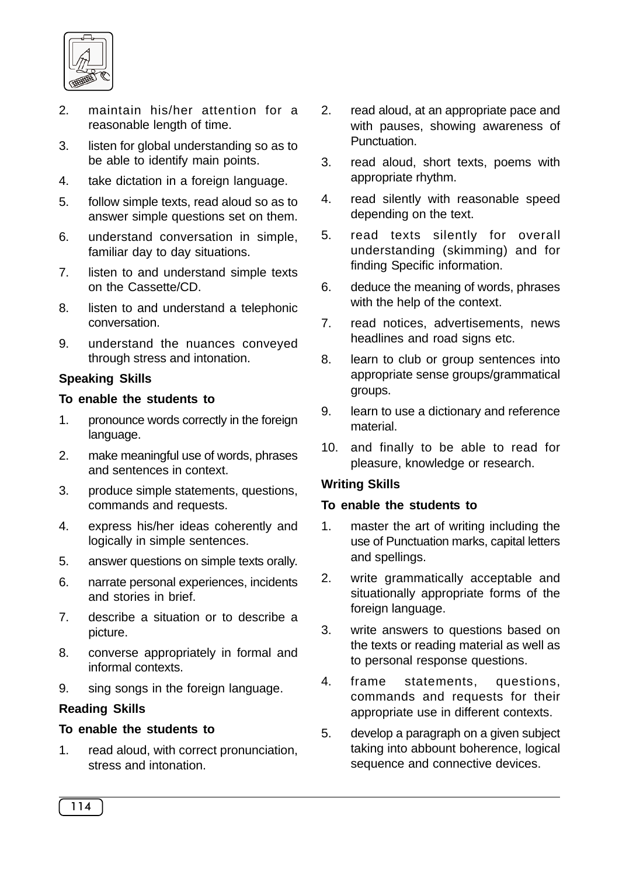

- 2. maintain his/her attention for a reasonable length of time.
- 3. listen for global understanding so as to be able to identify main points.
- 4. take dictation in a foreign language.
- 5. follow simple texts, read aloud so as to answer simple questions set on them.
- 6. understand conversation in simple, familiar day to day situations.
- 7. listen to and understand simple texts on the Cassette/CD.
- 8. listen to and understand a telephonic conversation.
- 9. understand the nuances conveyed through stress and intonation.

## **Speaking Skills**

#### **To enable the students to**

- 1. pronounce words correctly in the foreign language.
- 2. make meaningful use of words, phrases and sentences in context.
- 3. produce simple statements, questions, commands and requests.
- 4. express his/her ideas coherently and logically in simple sentences.
- 5. answer questions on simple texts orally.
- 6. narrate personal experiences, incidents and stories in brief.
- 7. describe a situation or to describe a picture.
- 8. converse appropriately in formal and informal contexts.
- 9. sing songs in the foreign language.

### **Reading Skills**

### **To enable the students to**

1. read aloud, with correct pronunciation, stress and intonation.

- 2. read aloud, at an appropriate pace and with pauses, showing awareness of Punctuation.
- 3. read aloud, short texts, poems with appropriate rhythm.
- 4. read silently with reasonable speed depending on the text.
- 5. read texts silently for overall understanding (skimming) and for finding Specific information.
- 6. deduce the meaning of words, phrases with the help of the context.
- 7. read notices, advertisements, news headlines and road signs etc.
- 8. learn to club or group sentences into appropriate sense groups/grammatical groups.
- 9. learn to use a dictionary and reference material.
- 10. and finally to be able to read for pleasure, knowledge or research.

### **Writing Skills**

### **To enable the students to**

- 1. master the art of writing including the use of Punctuation marks, capital letters and spellings.
- 2. write grammatically acceptable and situationally appropriate forms of the foreign language.
- 3. write answers to questions based on the texts or reading material as well as to personal response questions.
- 4. frame statements, questions, commands and requests for their appropriate use in different contexts.
- 5. develop a paragraph on a given subject taking into abbount boherence, logical sequence and connective devices.